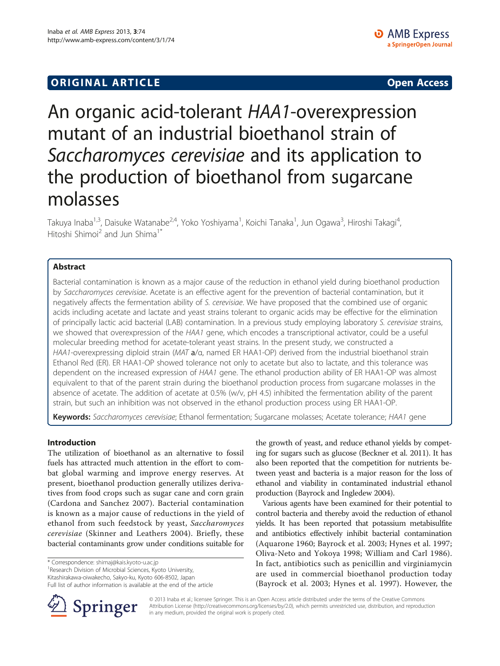# An organic acid-tolerant HAA1-overexpression mutant of an industrial bioethanol strain of Saccharomyces cerevisiae and its application to the production of bioethanol from sugarcane molasses

Takuya Inaba<sup>1,3</sup>, Daisuke Watanabe<sup>2,4</sup>, Yoko Yoshiyama<sup>1</sup>, Koichi Tanaka<sup>1</sup>, Jun Ogawa<sup>3</sup>, Hiroshi Takagi<sup>4</sup> , Hitoshi Shimoi<sup>2</sup> and Jun Shima<sup>1\*</sup>

# Abstract

Bacterial contamination is known as a major cause of the reduction in ethanol yield during bioethanol production by Saccharomyces cerevisiae. Acetate is an effective agent for the prevention of bacterial contamination, but it negatively affects the fermentation ability of S. cerevisiae. We have proposed that the combined use of organic acids including acetate and lactate and yeast strains tolerant to organic acids may be effective for the elimination of principally lactic acid bacterial (LAB) contamination. In a previous study employing laboratory S. cerevisiae strains, we showed that overexpression of the HAA1 gene, which encodes a transcriptional activator, could be a useful molecular breeding method for acetate-tolerant yeast strains. In the present study, we constructed a HAA1-overexpressing diploid strain (MAT a/α, named ER HAA1-OP) derived from the industrial bioethanol strain Ethanol Red (ER). ER HAA1-OP showed tolerance not only to acetate but also to lactate, and this tolerance was dependent on the increased expression of HAA1 gene. The ethanol production ability of ER HAA1-OP was almost equivalent to that of the parent strain during the bioethanol production process from sugarcane molasses in the absence of acetate. The addition of acetate at 0.5% (w/v, pH 4.5) inhibited the fermentation ability of the parent strain, but such an inhibition was not observed in the ethanol production process using ER HAA1-OP.

Keywords: Saccharomyces cerevisiae; Ethanol fermentation; Sugarcane molasses; Acetate tolerance; HAA1 gene

# Introduction

The utilization of bioethanol as an alternative to fossil fuels has attracted much attention in the effort to combat global warming and improve energy reserves. At present, bioethanol production generally utilizes derivatives from food crops such as sugar cane and corn grain (Cardona and Sanchez [2007](#page-6-0)). Bacterial contamination is known as a major cause of reductions in the yield of ethanol from such feedstock by yeast, Saccharomyces cerevisiae (Skinner and Leathers [2004](#page-6-0)). Briefly, these bacterial contaminants grow under conditions suitable for

\* Correspondence: [shimaj@kais.kyoto-u.ac.jp](mailto:shimaj@kais.kyoto-u.ac.jp) <sup>1</sup>

<sup>1</sup> Research Division of Microbial Sciences, Kyoto University,

Kitashirakawa-oiwakecho, Sakyo-ku, Kyoto 606-8502, Japan

Full list of author information is available at the end of the article



the growth of yeast, and reduce ethanol yields by competing for sugars such as glucose (Beckner et al. [2011\)](#page-6-0). It has also been reported that the competition for nutrients between yeast and bacteria is a major reason for the loss of ethanol and viability in contaminated industrial ethanol production (Bayrock and Ingledew [2004\)](#page-6-0).

Various agents have been examined for their potential to control bacteria and thereby avoid the reduction of ethanol yields. It has been reported that potassium metabisulfite and antibiotics effectively inhibit bacterial contamination (Aquarone [1960](#page-6-0); Bayrock et al. [2003;](#page-6-0) Hynes et al. [1997](#page-6-0); Oliva-Neto and Yokoya [1998](#page-6-0); William and Carl [1986](#page-6-0)). In fact, antibiotics such as penicillin and virginiamycin are used in commercial bioethanol production today (Bayrock et al. [2003](#page-6-0); Hynes et al. [1997\)](#page-6-0). However, the

© 2013 Inaba et al.; licensee Springer. This is an Open Access article distributed under the terms of the Creative Commons Attribution License [\(http://creativecommons.org/licenses/by/2.0\)](http://creativecommons.org/licenses/by/2.0), which permits unrestricted use, distribution, and reproduction in any medium, provided the original work is properly cited.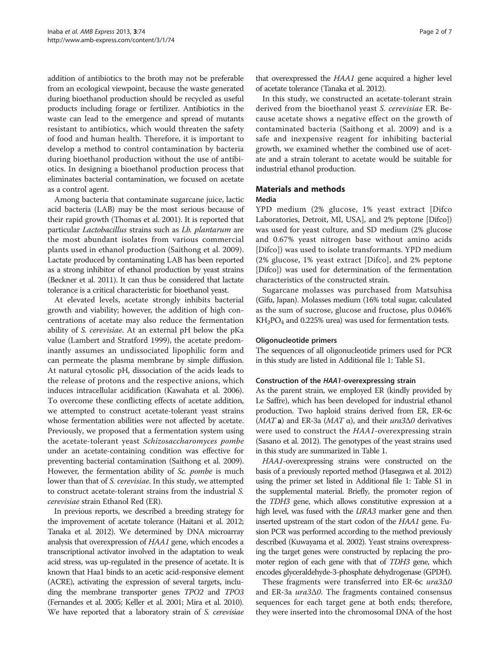addition of antibiotics to the broth may not be preferable from an ecological viewpoint, because the waste generated during bioethanol production should be recycled as useful products including forage or fertilizer. Antibiotics in the waste can lead to the emergence and spread of mutants resistant to antibiotics, which would threaten the safety of food and human health. Therefore, it is important to develop a method to control contamination by bacteria during bioethanol production without the use of antibiotics. In designing a bioethanol production process that eliminates bacterial contamination, we focused on acetate as a control agent.

Among bacteria that contaminate sugarcane juice, lactic acid bacteria (LAB) may be the most serious because of their rapid growth (Thomas et al. [2001](#page-6-0)). It is reported that particular Lactobacillus strains such as Lb. plantarum are the most abundant isolates from various commercial plants used in ethanol production (Saithong et al. [2009](#page-6-0)). Lactate produced by contaminating LAB has been reported as a strong inhibitor of ethanol production by yeast strains (Beckner et al. [2011](#page-6-0)). It can thus be considered that lactate tolerance is a critical characteristic for bioethanol yeast.

At elevated levels, acetate strongly inhibits bacterial growth and viability; however, the addition of high concentrations of acetate may also reduce the fermentation ability of S. cerevisiae. At an external pH below the pKa value (Lambert and Stratford [1999](#page-6-0)), the acetate predominantly assumes an undissociated lipophilic form and can permeate the plasma membrane by simple diffusion. At natural cytosolic pH, dissociation of the acids leads to the release of protons and the respective anions, which induces intracellular acidification (Kawahata et al. [2006](#page-6-0)). To overcome these conflicting effects of acetate addition, we attempted to construct acetate-tolerant yeast strains whose fermentation abilities were not affected by acetate. Previously, we proposed that a fermentation system using the acetate-tolerant yeast Schizosaccharomyces pombe under an acetate-containing condition was effective for preventing bacterial contamination (Saithong et al. [2009](#page-6-0)). However, the fermentation ability of Sc. pombe is much lower than that of S. cerevisiae. In this study, we attempted to construct acetate-tolerant strains from the industrial S. cerevisiae strain Ethanol Red (ER).

In previous reports, we described a breeding strategy for the improvement of acetate tolerance (Haitani et al. [2012](#page-6-0); Tanaka et al. [2012](#page-6-0)). We determined by DNA microarray analysis that overexpression of HAA1 gene, which encodes a transcriptional activator involved in the adaptation to weak acid stress, was up-regulated in the presence of acetate. It is known that Haa1 binds to an acetic acid-responsive element (ACRE), activating the expression of several targets, including the membrane transporter genes TPO2 and TPO3 (Fernandes et al. [2005;](#page-6-0) Keller et al. [2001;](#page-6-0) Mira et al. [2010](#page-6-0)). We have reported that a laboratory strain of S. cerevisiae

that overexpressed the HAA1 gene acquired a higher level of acetate tolerance (Tanaka et al. [2012\)](#page-6-0).

In this study, we constructed an acetate-tolerant strain derived from the bioethanol yeast S. cerevisiae ER. Because acetate shows a negative effect on the growth of contaminated bacteria (Saithong et al. [2009\)](#page-6-0) and is a safe and inexpensive reagent for inhibiting bacterial growth, we examined whether the combined use of acetate and a strain tolerant to acetate would be suitable for industrial ethanol production.

### Materials and methods

#### Media

YPD medium (2% glucose, 1% yeast extract [Difco Laboratories, Detroit, MI, USA], and 2% peptone [Difco]) was used for yeast culture, and SD medium (2% glucose and 0.67% yeast nitrogen base without amino acids [Difco]) was used to isolate transformants. YPD medium (2% glucose, 1% yeast extract [Difco], and 2% peptone [Difco]) was used for determination of the fermentation characteristics of the constructed strain.

Sugarcane molasses was purchased from Matsuhisa (Gifu, Japan). Molasses medium (16% total sugar, calculated as the sum of sucrose, glucose and fructose, plus 0.046% KH2PO4 and 0.225% urea) was used for fermentation tests.

#### Oligonucleotide primers

The sequences of all oligonucleotide primers used for PCR in this study are listed in Additional file [1](#page-5-0): Table S1.

#### Construction of the HAA1-overexpressing strain

As the parent strain, we employed ER (kindly provided by Le Saffre), which has been developed for industrial ethanol production. Two haploid strains derived from ER, ER-6c (MAT a) and ER-3a (MAT  $\alpha$ ), and their *ura*3 $\Delta$ 0 derivatives were used to construct the HAA1-overexpressing strain (Sasano et al. [2012](#page-6-0)). The genotypes of the yeast strains used in this study are summarized in Table [1](#page-2-0).

HAA1-overexpressing strains were constructed on the basis of a previously reported method (Hasegawa et al. [2012](#page-6-0)) using the primer set listed in Additional file [1:](#page-5-0) Table S1 in the supplemental material. Briefly, the promoter region of the TDH3 gene, which allows constitutive expression at a high level, was fused with the *URA3* marker gene and then inserted upstream of the start codon of the HAA1 gene. Fusion PCR was performed according to the method previously described (Kuwayama et al. [2002](#page-6-0)). Yeast strains overexpressing the target genes were constructed by replacing the promoter region of each gene with that of TDH3 gene, which encodes glyceraldehyde-3-phosphate dehydrogenase (GPDH).

These fragments were transferred into ER-6c ura3Δ0 and ER-3a  $ura3\Delta$ 0. The fragments contained consensus sequences for each target gene at both ends; therefore, they were inserted into the chromosomal DNA of the host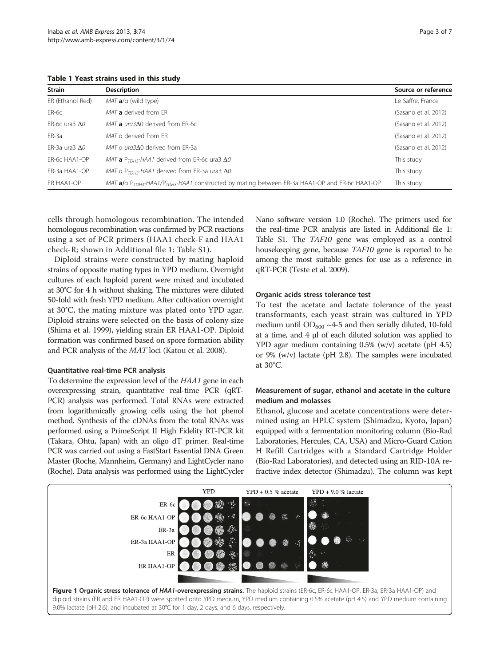<span id="page-2-0"></span>Table 1 Yeast strains used in this study

| <b>Strain</b>                | <b>Description</b>                                                                                                      | Source or reference  |
|------------------------------|-------------------------------------------------------------------------------------------------------------------------|----------------------|
| ER (Ethanol Red)             | $MATa/\alpha$ (wild type)                                                                                               | Le Saffre, France    |
| ER-6c                        | MAT a derived from FR                                                                                                   | (Sasano et al. 2012) |
| $FR$ -6 $c$ ura3 $\Lambda$ 0 | $MATa$ ura3 $\Delta$ 0 derived from ER-6c                                                                               | (Sasano et al. 2012) |
| ER-3a                        | MAT a derived from FR                                                                                                   | (Sasano et al. 2012) |
| $FR-3a$ ura3 $\Lambda$ 0     | MAT a ura3A0 derived from FR-3a                                                                                         | (Sasano et al. 2012) |
| ER-6c HAA1-OP                | MAT <b>a</b> $P_{TDH3}$ -HAA1 derived from ER-6c ura3 $\Delta 0$                                                        | This study           |
| ER-3a HAA1-OP                | MAT a $P_{TDM3}$ -HAA1 derived from ER-3a ura3 $\Delta 0$                                                               | This study           |
| ER HAA1-OP                   | MAT $a/a$ P <sub>TDH3</sub> -HAA1/P <sub>TDH3</sub> -HAA1 constructed by mating between ER-3a HAA1-OP and ER-6c HAA1-OP | This study           |

cells through homologous recombination. The intended homologous recombination was confirmed by PCR reactions using a set of PCR primers (HAA1 check-F and HAA1 check-R; shown in Additional file [1:](#page-5-0) Table S1).

Diploid strains were constructed by mating haploid strains of opposite mating types in YPD medium. Overnight cultures of each haploid parent were mixed and incubated at 30°C for 4 h without shaking. The mixtures were diluted 50-fold with fresh YPD medium. After cultivation overnight at 30°C, the mating mixture was plated onto YPD agar. Diploid strains were selected on the basis of colony size (Shima et al. [1999\)](#page-6-0), yielding strain ER HAA1-OP. Diploid formation was confirmed based on spore formation ability and PCR analysis of the MAT loci (Katou et al. [2008\)](#page-6-0).

#### Quantitative real-time PCR analysis

To determine the expression level of the HAA1 gene in each overexpressing strain, quantitative real-time PCR (qRT-PCR) analysis was performed. Total RNAs were extracted from logarithmically growing cells using the hot phenol method. Synthesis of the cDNAs from the total RNAs was performed using a PrimeScript II High Fidelity RT-PCR kit (Takara, Ohtu, Japan) with an oligo dT primer. Real-time PCR was carried out using a FastStart Essential DNA Green Master (Roche, Mannheim, Germany) and LightCycler nano (Roche). Data analysis was performed using the LightCycler Nano software version 1.0 (Roche). The primers used for the real-time PCR analysis are listed in Additional file [1](#page-5-0): Table S1. The TAF10 gene was employed as a control housekeeping gene, because TAF10 gene is reported to be among the most suitable genes for use as a reference in qRT-PCR (Teste et al. [2009\)](#page-6-0).

## Organic acids stress tolerance test

To test the acetate and lactate tolerance of the yeast transformants, each yeast strain was cultured in YPD medium until  $OD_{600}$  ~4-5 and then serially diluted, 10-fold at a time, and 4 μl of each diluted solution was applied to YPD agar medium containing 0.5% (w/v) acetate (pH 4.5) or 9% (w/v) lactate (pH 2.8). The samples were incubated at 30°C.

## Measurement of sugar, ethanol and acetate in the culture medium and molasses

Ethanol, glucose and acetate concentrations were determined using an HPLC system (Shimadzu, Kyoto, Japan) equipped with a fermentation monitoring column (Bio-Rad Laboratories, Hercules, CA, USA) and Micro-Guard Cation H Refill Cartridges with a Standard Cartridge Holder (Bio-Rad Laboratories), and detected using an RID-10A refractive index detector (Shimadzu). The column was kept

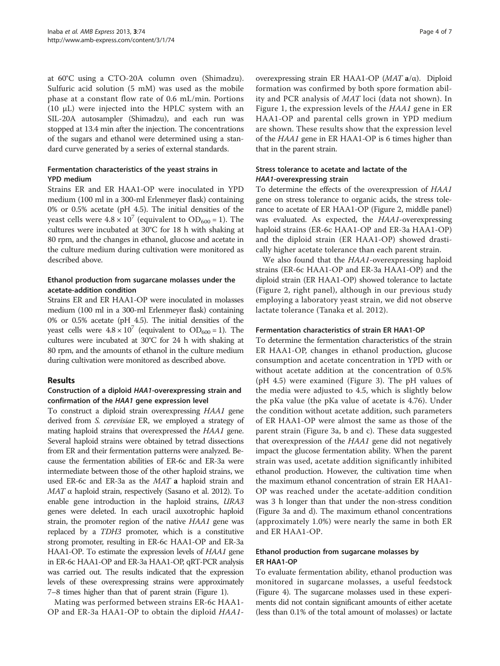at 60°C using a CTO-20A column oven (Shimadzu). Sulfuric acid solution (5 mM) was used as the mobile phase at a constant flow rate of 0.6 mL/min. Portions (10 μL) were injected into the HPLC system with an SIL-20A autosampler (Shimadzu), and each run was stopped at 13.4 min after the injection. The concentrations of the sugars and ethanol were determined using a standard curve generated by a series of external standards.

## Fermentation characteristics of the yeast strains in YPD medium

Strains ER and ER HAA1-OP were inoculated in YPD medium (100 ml in a 300-ml Erlenmeyer flask) containing 0% or 0.5% acetate (pH 4.5). The initial densities of the yeast cells were  $4.8 \times 10^7$  (equivalent to  $OD_{600} = 1$ ). The cultures were incubated at 30°C for 18 h with shaking at 80 rpm, and the changes in ethanol, glucose and acetate in the culture medium during cultivation were monitored as described above.

## Ethanol production from sugarcane molasses under the acetate-addition condition

Strains ER and ER HAA1-OP were inoculated in molasses medium (100 ml in a 300-ml Erlenmeyer flask) containing 0% or 0.5% acetate (pH 4.5). The initial densities of the yeast cells were  $4.8 \times 10^7$  (equivalent to  $OD_{600} = 1$ ). The cultures were incubated at 30°C for 24 h with shaking at 80 rpm, and the amounts of ethanol in the culture medium during cultivation were monitored as described above.

## Results

## Construction of a diploid HAA1-overexpressing strain and confirmation of the HAA1 gene expression level

To construct a diploid strain overexpressing HAA1 gene derived from S. cerevisiae ER, we employed a strategy of mating haploid strains that overexpressed the HAA1 gene. Several haploid strains were obtained by tetrad dissections from ER and their fermentation patterns were analyzed. Because the fermentation abilities of ER-6c and ER-3a were intermediate between those of the other haploid strains, we used ER-6c and ER-3a as the MAT a haploid strain and  $MAT \alpha$  haploid strain, respectively (Sasano et al. [2012\)](#page-6-0). To enable gene introduction in the haploid strains, URA3 genes were deleted. In each uracil auxotrophic haploid strain, the promoter region of the native HAA1 gene was replaced by a TDH3 promoter, which is a constitutive strong promoter, resulting in ER-6c HAA1-OP and ER-3a HAA1-OP. To estimate the expression levels of HAA1 gene in ER-6c HAA1-OP and ER-3a HAA1-OP, qRT-PCR analysis was carried out. The results indicated that the expression levels of these overexpressing strains were approximately 7–8 times higher than that of parent strain (Figure [1](#page-2-0)).

Mating was performed between strains ER-6c HAA1- OP and ER-3a HAA1-OP to obtain the diploid HAA1-

overexpressing strain ER HAA1-OP ( $MATa/α$ ). Diploid formation was confirmed by both spore formation ability and PCR analysis of MAT loci (data not shown). In Figure [1,](#page-2-0) the expression levels of the HAA1 gene in ER HAA1-OP and parental cells grown in YPD medium are shown. These results show that the expression level of the HAA1 gene in ER HAA1-OP is 6 times higher than that in the parent strain.

## Stress tolerance to acetate and lactate of the HAA1-overexpressing strain

To determine the effects of the overexpression of HAA1 gene on stress tolerance to organic acids, the stress tolerance to acetate of ER HAA1-OP (Figure [2](#page-4-0), middle panel) was evaluated. As expected, the HAA1-overexpressing haploid strains (ER-6c HAA1-OP and ER-3a HAA1-OP) and the diploid strain (ER HAA1-OP) showed drastically higher acetate tolerance than each parent strain.

We also found that the HAA1-overexpressing haploid strains (ER-6c HAA1-OP and ER-3a HAA1-OP) and the diploid strain (ER HAA1-OP) showed tolerance to lactate (Figure [2,](#page-4-0) right panel), although in our previous study employing a laboratory yeast strain, we did not observe lactate tolerance (Tanaka et al. [2012\)](#page-6-0).

### Fermentation characteristics of strain ER HAA1-OP

To determine the fermentation characteristics of the strain ER HAA1-OP, changes in ethanol production, glucose consumption and acetate concentration in YPD with or without acetate addition at the concentration of 0.5% (pH 4.5) were examined (Figure [3\)](#page-4-0). The pH values of the media were adjusted to 4.5, which is slightly below the pKa value (the pKa value of acetate is 4.76). Under the condition without acetate addition, such parameters of ER HAA1-OP were almost the same as those of the parent strain (Figure [3](#page-4-0)a, b and c). These data suggested that overexpression of the HAA1 gene did not negatively impact the glucose fermentation ability. When the parent strain was used, acetate addition significantly inhibited ethanol production. However, the cultivation time when the maximum ethanol concentration of strain ER HAA1- OP was reached under the acetate-addition condition was 3 h longer than that under the non-stress condition (Figure [3](#page-4-0)a and d). The maximum ethanol concentrations (approximately 1.0%) were nearly the same in both ER and ER HAA1-OP.

## Ethanol production from sugarcane molasses by ER HAA1-OP

To evaluate fermentation ability, ethanol production was monitored in sugarcane molasses, a useful feedstock (Figure [4](#page-5-0)). The sugarcane molasses used in these experiments did not contain significant amounts of either acetate (less than 0.1% of the total amount of molasses) or lactate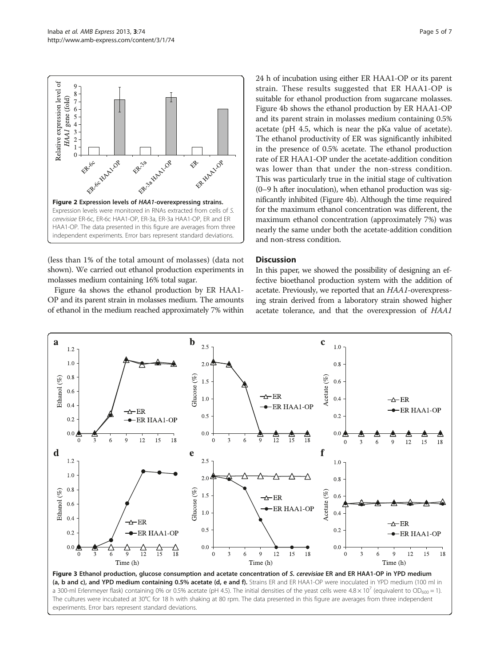<span id="page-4-0"></span>

(less than 1% of the total amount of molasses) (data not shown). We carried out ethanol production experiments in molasses medium containing 16% total sugar.

Figure [4](#page-5-0)a shows the ethanol production by ER HAA1- OP and its parent strain in molasses medium. The amounts of ethanol in the medium reached approximately 7% within 24 h of incubation using either ER HAA1-OP or its parent strain. These results suggested that ER HAA1-OP is suitable for ethanol production from sugarcane molasses. Figure [4b](#page-5-0) shows the ethanol production by ER HAA1-OP and its parent strain in molasses medium containing 0.5% acetate (pH 4.5, which is near the pKa value of acetate). The ethanol productivity of ER was significantly inhibited in the presence of 0.5% acetate. The ethanol production rate of ER HAA1-OP under the acetate-addition condition was lower than that under the non-stress condition. This was particularly true in the initial stage of cultivation (0–9 h after inoculation), when ethanol production was significantly inhibited (Figure [4b](#page-5-0)). Although the time required for the maximum ethanol concentration was different, the maximum ethanol concentration (approximately 7%) was nearly the same under both the acetate-addition condition and non-stress condition.

# **Discussion**

In this paper, we showed the possibility of designing an effective bioethanol production system with the addition of acetate. Previously, we reported that an HAA1-overexpressing strain derived from a laboratory strain showed higher acetate tolerance, and that the overexpression of HAA1



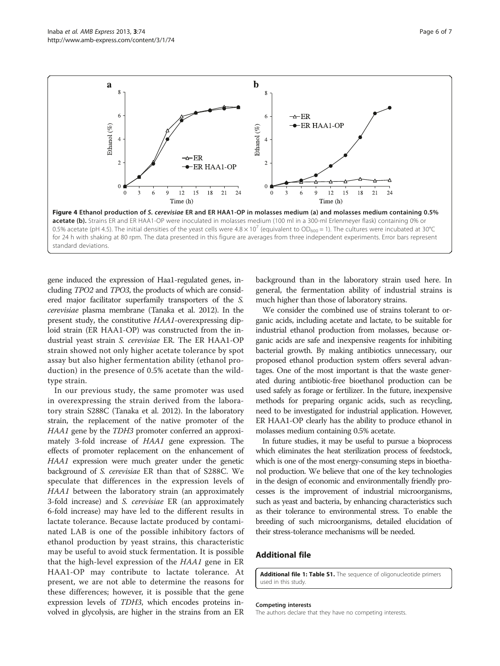<span id="page-5-0"></span>Inaba et al. AMB Express 2013, 3:74 Page 6 of 7 http://www.amb-express.com/content/3/1/74



gene induced the expression of Haa1-regulated genes, including TPO2 and TPO3, the products of which are considered major facilitator superfamily transporters of the S. cerevisiae plasma membrane (Tanaka et al. [2012\)](#page-6-0). In the present study, the constitutive HAA1-overexpressing diploid strain (ER HAA1-OP) was constructed from the industrial yeast strain S. cerevisiae ER. The ER HAA1-OP strain showed not only higher acetate tolerance by spot assay but also higher fermentation ability (ethanol production) in the presence of 0.5% acetate than the wildtype strain.

In our previous study, the same promoter was used in overexpressing the strain derived from the laboratory strain S288C (Tanaka et al. [2012](#page-6-0)). In the laboratory strain, the replacement of the native promoter of the HAA1 gene by the TDH3 promoter conferred an approximately 3-fold increase of HAA1 gene expression. The effects of promoter replacement on the enhancement of HAA1 expression were much greater under the genetic background of S. cerevisiae ER than that of S288C. We speculate that differences in the expression levels of HAA1 between the laboratory strain (an approximately 3-fold increase) and S. cerevisiae ER (an approximately 6-fold increase) may have led to the different results in lactate tolerance. Because lactate produced by contaminated LAB is one of the possible inhibitory factors of ethanol production by yeast strains, this characteristic may be useful to avoid stuck fermentation. It is possible that the high-level expression of the HAA1 gene in ER HAA1-OP may contribute to lactate tolerance. At present, we are not able to determine the reasons for these differences; however, it is possible that the gene expression levels of TDH3, which encodes proteins involved in glycolysis, are higher in the strains from an ER

background than in the laboratory strain used here. In general, the fermentation ability of industrial strains is much higher than those of laboratory strains.

We consider the combined use of strains tolerant to organic acids, including acetate and lactate, to be suitable for industrial ethanol production from molasses, because organic acids are safe and inexpensive reagents for inhibiting bacterial growth. By making antibiotics unnecessary, our proposed ethanol production system offers several advantages. One of the most important is that the waste generated during antibiotic-free bioethanol production can be used safely as forage or fertilizer. In the future, inexpensive methods for preparing organic acids, such as recycling, need to be investigated for industrial application. However, ER HAA1-OP clearly has the ability to produce ethanol in molasses medium containing 0.5% acetate.

In future studies, it may be useful to pursue a bioprocess which eliminates the heat sterilization process of feedstock, which is one of the most energy-consuming steps in bioethanol production. We believe that one of the key technologies in the design of economic and environmentally friendly processes is the improvement of industrial microorganisms, such as yeast and bacteria, by enhancing characteristics such as their tolerance to environmental stress. To enable the breeding of such microorganisms, detailed elucidation of their stress-tolerance mechanisms will be needed.

#### Additional file

[Additional file 1: Table S1.](http://www.biomedcentral.com/content/supplementary/2191-0855-3-74-S1.doc) The sequence of oligonucleotide primers used in this study.

#### Competing interests

The authors declare that they have no competing interests.